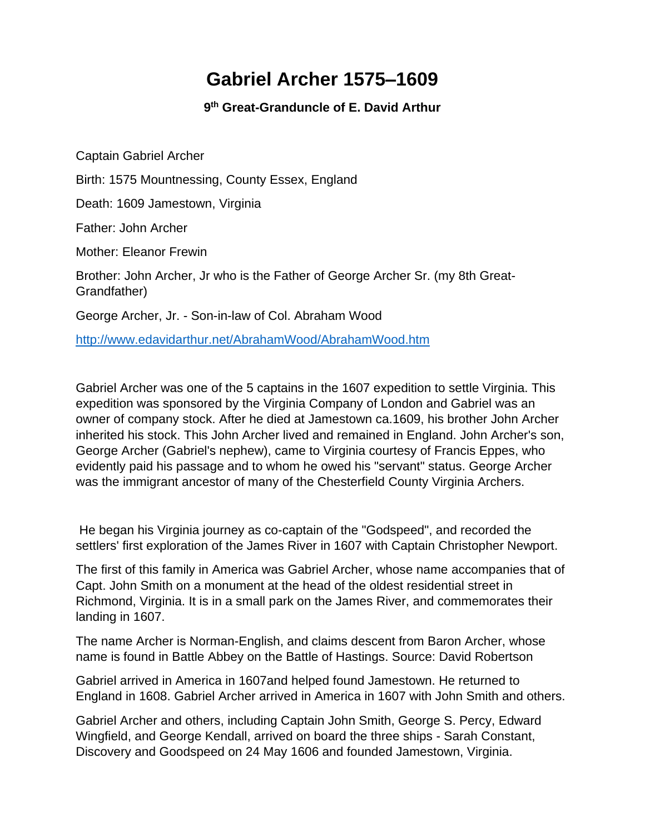# **Gabriel Archer 1575–1609**

**9 th Great-Granduncle of E. David Arthur**

Captain Gabriel Archer Birth: 1575 Mountnessing, County Essex, England Death: 1609 Jamestown, Virginia Father: John Archer Mother: Eleanor Frewin Brother: John Archer, Jr who is the Father of George Archer Sr. (my 8th Great-Grandfather) George Archer, Jr. - Son-in-law of Col. Abraham Wood <http://www.edavidarthur.net/AbrahamWood/AbrahamWood.htm>

Gabriel Archer was one of the 5 captains in the 1607 expedition to settle Virginia. This expedition was sponsored by the Virginia Company of London and Gabriel was an owner of company stock. After he died at Jamestown ca.1609, his brother John Archer inherited his stock. This John Archer lived and remained in England. John Archer's son, George Archer (Gabriel's nephew), came to Virginia courtesy of Francis Eppes, who evidently paid his passage and to whom he owed his "servant" status. George Archer was the immigrant ancestor of many of the Chesterfield County Virginia Archers.

He began his Virginia journey as co-captain of the "Godspeed", and recorded the settlers' first exploration of the James River in 1607 with Captain Christopher Newport.

The first of this family in America was Gabriel Archer, whose name accompanies that of Capt. John Smith on a monument at the head of the oldest residential street in Richmond, Virginia. It is in a small park on the James River, and commemorates their landing in 1607.

The name Archer is Norman-English, and claims descent from Baron Archer, whose name is found in Battle Abbey on the Battle of Hastings. Source: David Robertson

Gabriel arrived in America in 1607and helped found Jamestown. He returned to England in 1608. Gabriel Archer arrived in America in 1607 with John Smith and others.

Gabriel Archer and others, including Captain John Smith, George S. Percy, Edward Wingfield, and George Kendall, arrived on board the three ships - Sarah Constant, Discovery and Goodspeed on 24 May 1606 and founded Jamestown, Virginia.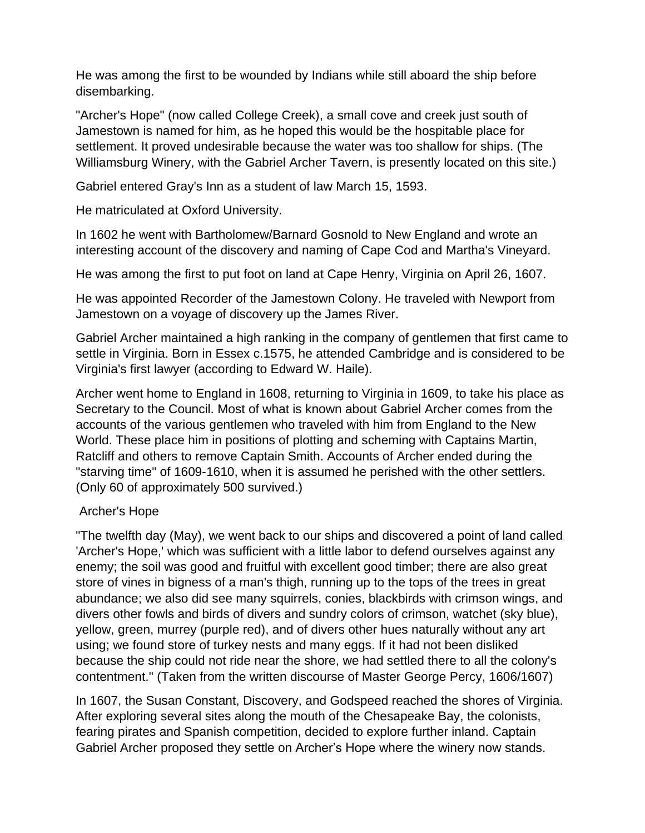He was among the first to be wounded by Indians while still aboard the ship before disembarking.

"Archer's Hope" (now called College Creek), a small cove and creek just south of Jamestown is named for him, as he hoped this would be the hospitable place for settlement. It proved undesirable because the water was too shallow for ships. (The Williamsburg Winery, with the Gabriel Archer Tavern, is presently located on this site.)

Gabriel entered Gray's Inn as a student of law March 15, 1593.

He matriculated at Oxford University.

In 1602 he went with Bartholomew/Barnard Gosnold to New England and wrote an interesting account of the discovery and naming of Cape Cod and Martha's Vineyard.

He was among the first to put foot on land at Cape Henry, Virginia on April 26, 1607.

He was appointed Recorder of the Jamestown Colony. He traveled with Newport from Jamestown on a voyage of discovery up the James River.

Gabriel Archer maintained a high ranking in the company of gentlemen that first came to settle in Virginia. Born in Essex c.1575, he attended Cambridge and is considered to be Virginia's first lawyer (according to Edward W. Haile).

Archer went home to England in 1608, returning to Virginia in 1609, to take his place as Secretary to the Council. Most of what is known about Gabriel Archer comes from the accounts of the various gentlemen who traveled with him from England to the New World. These place him in positions of plotting and scheming with Captains Martin, Ratcliff and others to remove Captain Smith. Accounts of Archer ended during the "starving time" of 1609-1610, when it is assumed he perished with the other settlers. (Only 60 of approximately 500 survived.)

### Archer's Hope

"The twelfth day (May), we went back to our ships and discovered a point of land called 'Archer's Hope,' which was sufficient with a little labor to defend ourselves against any enemy; the soil was good and fruitful with excellent good timber; there are also great store of vines in bigness of a man's thigh, running up to the tops of the trees in great abundance; we also did see many squirrels, conies, blackbirds with crimson wings, and divers other fowls and birds of divers and sundry colors of crimson, watchet (sky blue), yellow, green, murrey (purple red), and of divers other hues naturally without any art using; we found store of turkey nests and many eggs. If it had not been disliked because the ship could not ride near the shore, we had settled there to all the colony's contentment." (Taken from the written discourse of Master George Percy, 1606/1607)

In 1607, the Susan Constant, Discovery, and Godspeed reached the shores of Virginia. After exploring several sites along the mouth of the Chesapeake Bay, the colonists, fearing pirates and Spanish competition, decided to explore further inland. Captain Gabriel Archer proposed they settle on Archer's Hope where the winery now stands.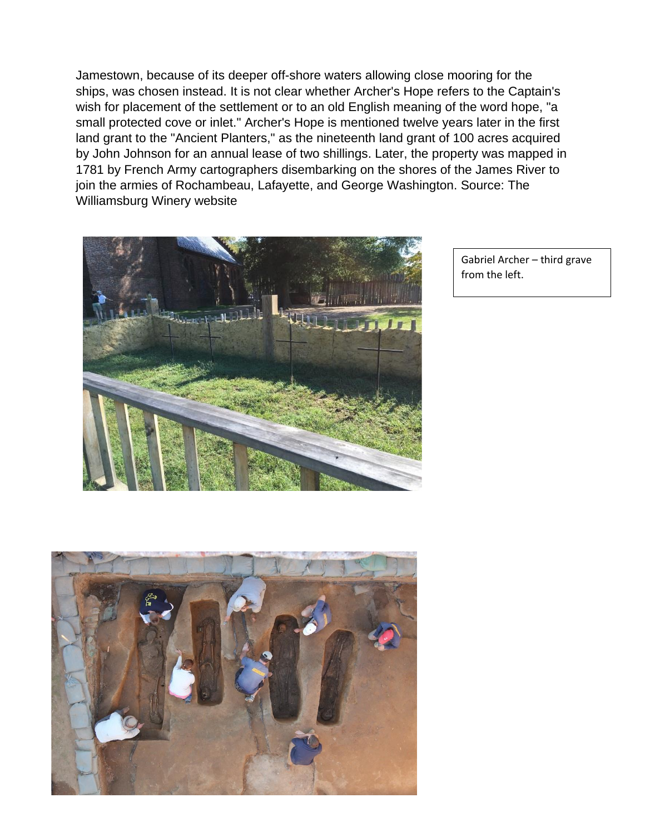Jamestown, because of its deeper off-shore waters allowing close mooring for the ships, was chosen instead. It is not clear whether Archer's Hope refers to the Captain's wish for placement of the settlement or to an old English meaning of the word hope, "a small protected cove or inlet." Archer's Hope is mentioned twelve years later in the first land grant to the "Ancient Planters," as the nineteenth land grant of 100 acres acquired by John Johnson for an annual lease of two shillings. Later, the property was mapped in 1781 by French Army cartographers disembarking on the shores of the James River to join the armies of Rochambeau, Lafayette, and George Washington. Source: The Williamsburg Winery website



Gabriel Archer – third grave from the left.

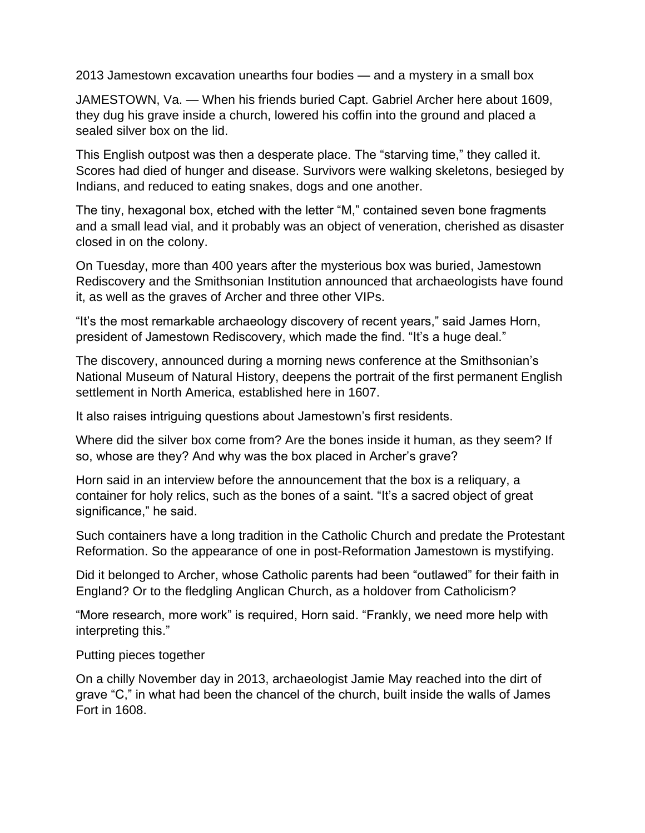2013 Jamestown excavation unearths four bodies — and a mystery in a small box

JAMESTOWN, Va. — When his friends buried Capt. Gabriel Archer here about 1609, they dug his grave inside a church, lowered his coffin into the ground and placed a sealed silver box on the lid.

This English outpost was then a desperate place. The "starving time," they called it. Scores had died of hunger and disease. Survivors were walking skeletons, besieged by Indians, and reduced to eating snakes, dogs and one another.

The tiny, hexagonal box, etched with the letter "M," contained seven bone fragments and a small lead vial, and it probably was an object of veneration, cherished as disaster closed in on the colony.

On Tuesday, more than 400 years after the mysterious box was buried, Jamestown Rediscovery and the Smithsonian Institution announced that archaeologists have found it, as well as the graves of Archer and three other VIPs.

"It's the most remarkable archaeology discovery of recent years," said James Horn, president of Jamestown Rediscovery, which made the find. "It's a huge deal."

The discovery, announced during a morning news conference at the Smithsonian's National Museum of Natural History, deepens the portrait of the first permanent English settlement in North America, established here in 1607.

It also raises intriguing questions about Jamestown's first residents.

Where did the silver box come from? Are the bones inside it human, as they seem? If so, whose are they? And why was the box placed in Archer's grave?

Horn said in an interview before the announcement that the box is a reliquary, a container for holy relics, such as the bones of a saint. "It's a sacred object of great significance," he said.

Such containers have a long tradition in the Catholic Church and predate the Protestant Reformation. So the appearance of one in post-Reformation Jamestown is mystifying.

Did it belonged to Archer, whose Catholic parents had been "outlawed" for their faith in England? Or to the fledgling Anglican Church, as a holdover from Catholicism?

"More research, more work" is required, Horn said. "Frankly, we need more help with interpreting this."

Putting pieces together

On a chilly November day in 2013, archaeologist Jamie May reached into the dirt of grave "C," in what had been the chancel of the church, built inside the walls of James Fort in 1608.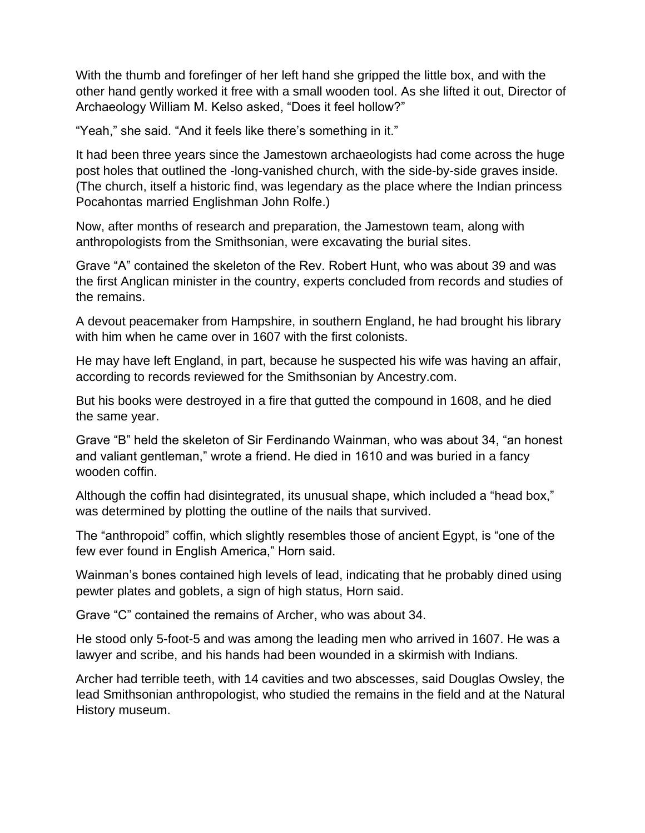With the thumb and forefinger of her left hand she gripped the little box, and with the other hand gently worked it free with a small wooden tool. As she lifted it out, Director of Archaeology William M. Kelso asked, "Does it feel hollow?"

"Yeah," she said. "And it feels like there's something in it."

It had been three years since the Jamestown archaeologists had come across the huge post holes that outlined the -long-vanished church, with the side-by-side graves inside. (The church, itself a historic find, was legendary as the place where the Indian princess Pocahontas married Englishman John Rolfe.)

Now, after months of research and preparation, the Jamestown team, along with anthropologists from the Smithsonian, were excavating the burial sites.

Grave "A" contained the skeleton of the Rev. Robert Hunt, who was about 39 and was the first Anglican minister in the country, experts concluded from records and studies of the remains.

A devout peacemaker from Hampshire, in southern England, he had brought his library with him when he came over in 1607 with the first colonists.

He may have left England, in part, because he suspected his wife was having an affair, according to records reviewed for the Smithsonian by Ancestry.com.

But his books were destroyed in a fire that gutted the compound in 1608, and he died the same year.

Grave "B" held the skeleton of Sir Ferdinando Wainman, who was about 34, "an honest and valiant gentleman," wrote a friend. He died in 1610 and was buried in a fancy wooden coffin.

Although the coffin had disintegrated, its unusual shape, which included a "head box," was determined by plotting the outline of the nails that survived.

The "anthropoid" coffin, which slightly resembles those of ancient Egypt, is "one of the few ever found in English America," Horn said.

Wainman's bones contained high levels of lead, indicating that he probably dined using pewter plates and goblets, a sign of high status, Horn said.

Grave "C" contained the remains of Archer, who was about 34.

He stood only 5-foot-5 and was among the leading men who arrived in 1607. He was a lawyer and scribe, and his hands had been wounded in a skirmish with Indians.

Archer had terrible teeth, with 14 cavities and two abscesses, said Douglas Owsley, the lead Smithsonian anthropologist, who studied the remains in the field and at the Natural History museum.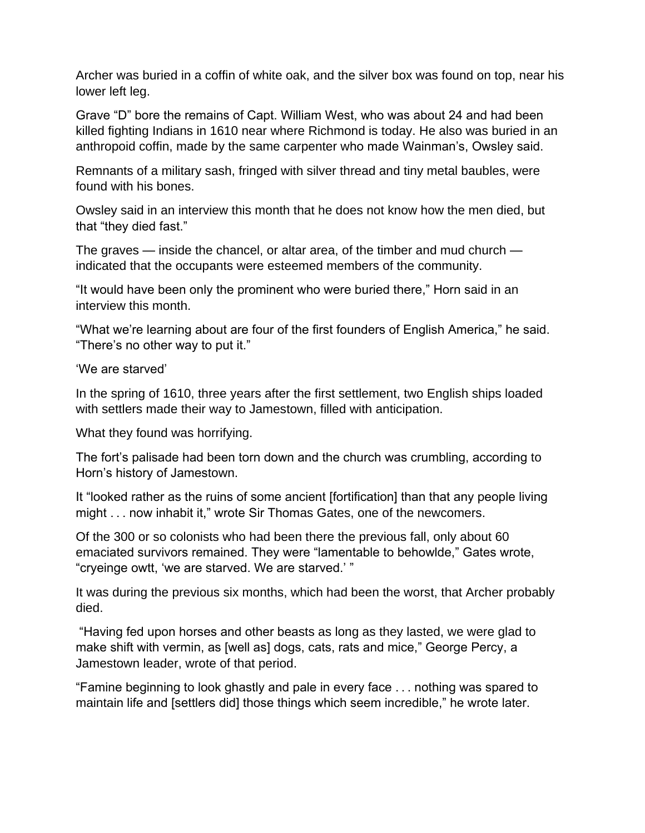Archer was buried in a coffin of white oak, and the silver box was found on top, near his lower left leg.

Grave "D" bore the remains of Capt. William West, who was about 24 and had been killed fighting Indians in 1610 near where Richmond is today. He also was buried in an anthropoid coffin, made by the same carpenter who made Wainman's, Owsley said.

Remnants of a military sash, fringed with silver thread and tiny metal baubles, were found with his bones.

Owsley said in an interview this month that he does not know how the men died, but that "they died fast."

The graves — inside the chancel, or altar area, of the timber and mud church indicated that the occupants were esteemed members of the community.

"It would have been only the prominent who were buried there," Horn said in an interview this month.

"What we're learning about are four of the first founders of English America," he said. "There's no other way to put it."

'We are starved'

In the spring of 1610, three years after the first settlement, two English ships loaded with settlers made their way to Jamestown, filled with anticipation.

What they found was horrifying.

The fort's palisade had been torn down and the church was crumbling, according to Horn's history of Jamestown.

It "looked rather as the ruins of some ancient [fortification] than that any people living might . . . now inhabit it," wrote Sir Thomas Gates, one of the newcomers.

Of the 300 or so colonists who had been there the previous fall, only about 60 emaciated survivors remained. They were "lamentable to behowlde," Gates wrote, "cryeinge owtt, 'we are starved. We are starved.' "

It was during the previous six months, which had been the worst, that Archer probably died.

"Having fed upon horses and other beasts as long as they lasted, we were glad to make shift with vermin, as [well as] dogs, cats, rats and mice," George Percy, a Jamestown leader, wrote of that period.

"Famine beginning to look ghastly and pale in every face . . . nothing was spared to maintain life and [settlers did] those things which seem incredible," he wrote later.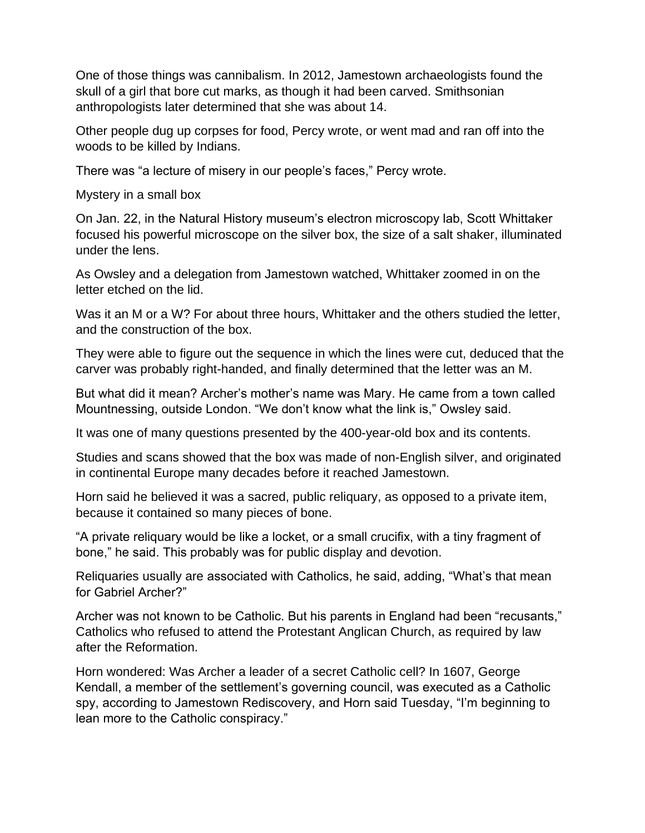One of those things was cannibalism. In 2012, Jamestown archaeologists found the skull of a girl that bore cut marks, as though it had been carved. Smithsonian anthropologists later determined that she was about 14.

Other people dug up corpses for food, Percy wrote, or went mad and ran off into the woods to be killed by Indians.

There was "a lecture of misery in our people's faces," Percy wrote.

Mystery in a small box

On Jan. 22, in the Natural History museum's electron microscopy lab, Scott Whittaker focused his powerful microscope on the silver box, the size of a salt shaker, illuminated under the lens.

As Owsley and a delegation from Jamestown watched, Whittaker zoomed in on the letter etched on the lid.

Was it an M or a W? For about three hours, Whittaker and the others studied the letter, and the construction of the box.

They were able to figure out the sequence in which the lines were cut, deduced that the carver was probably right-handed, and finally determined that the letter was an M.

But what did it mean? Archer's mother's name was Mary. He came from a town called Mountnessing, outside London. "We don't know what the link is," Owsley said.

It was one of many questions presented by the 400-year-old box and its contents.

Studies and scans showed that the box was made of non-English silver, and originated in continental Europe many decades before it reached Jamestown.

Horn said he believed it was a sacred, public reliquary, as opposed to a private item, because it contained so many pieces of bone.

"A private reliquary would be like a locket, or a small crucifix, with a tiny fragment of bone," he said. This probably was for public display and devotion.

Reliquaries usually are associated with Catholics, he said, adding, "What's that mean for Gabriel Archer?"

Archer was not known to be Catholic. But his parents in England had been "recusants," Catholics who refused to attend the Protestant Anglican Church, as required by law after the Reformation.

Horn wondered: Was Archer a leader of a secret Catholic cell? In 1607, George Kendall, a member of the settlement's governing council, was executed as a Catholic spy, according to Jamestown Rediscovery, and Horn said Tuesday, "I'm beginning to lean more to the Catholic conspiracy."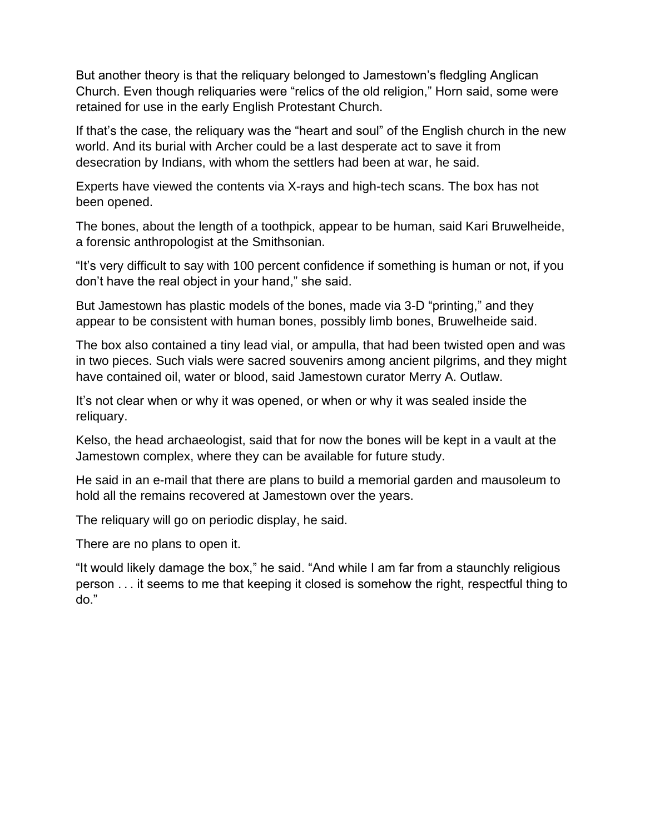But another theory is that the reliquary belonged to Jamestown's fledgling Anglican Church. Even though reliquaries were "relics of the old religion," Horn said, some were retained for use in the early English Protestant Church.

If that's the case, the reliquary was the "heart and soul" of the English church in the new world. And its burial with Archer could be a last desperate act to save it from desecration by Indians, with whom the settlers had been at war, he said.

Experts have viewed the contents via X-rays and high-tech scans. The box has not been opened.

The bones, about the length of a toothpick, appear to be human, said Kari Bruwelheide, a forensic anthropologist at the Smithsonian.

"It's very difficult to say with 100 percent confidence if something is human or not, if you don't have the real object in your hand," she said.

But Jamestown has plastic models of the bones, made via 3-D "printing," and they appear to be consistent with human bones, possibly limb bones, Bruwelheide said.

The box also contained a tiny lead vial, or ampulla, that had been twisted open and was in two pieces. Such vials were sacred souvenirs among ancient pilgrims, and they might have contained oil, water or blood, said Jamestown curator Merry A. Outlaw.

It's not clear when or why it was opened, or when or why it was sealed inside the reliquary.

Kelso, the head archaeologist, said that for now the bones will be kept in a vault at the Jamestown complex, where they can be available for future study.

He said in an e-mail that there are plans to build a memorial garden and mausoleum to hold all the remains recovered at Jamestown over the years.

The reliquary will go on periodic display, he said.

There are no plans to open it.

"It would likely damage the box," he said. "And while I am far from a staunchly religious person . . . it seems to me that keeping it closed is somehow the right, respectful thing to do."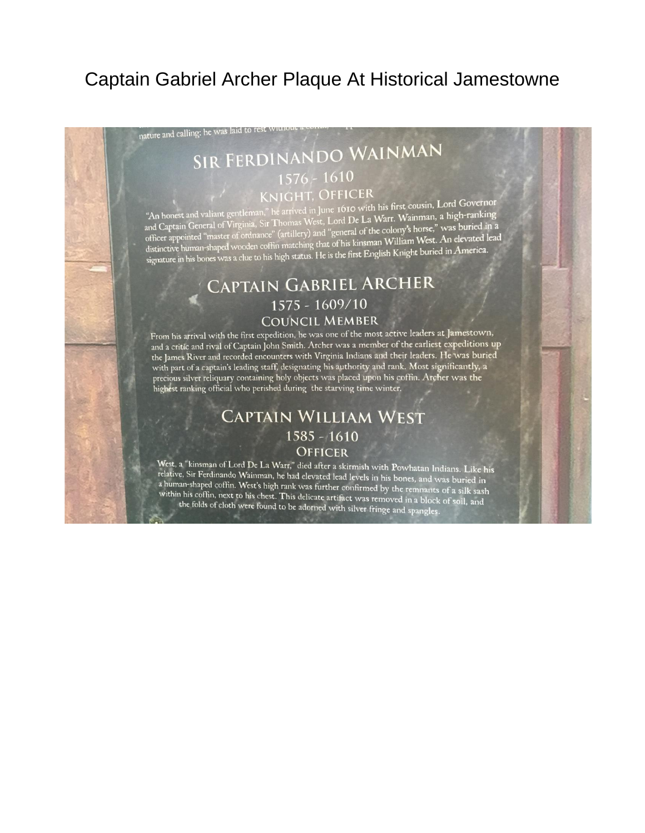## Captain Gabriel Archer Plaque At Historical Jamestowne

# SIR FERDINANDO WAINMAN  $1576 - 1610$ KNIGHT, OFFICER

nature and calling: he was laid to rest withou

KNIGHT, OFFICER<br>"An honest and valiant gentleman," he arrived in June 1610 with his first cousin, Lord Governor<br>and Captain General of Virginia, Sir Thomas West, Lord De La Warr. Wainman, a high-ranking<br>officer appointed "

# **CAPTAIN GABRIEL ARCHER**

### $1575 - 1609/10$

#### **COUNCIL MEMBER**

From his arrival with the first expedition, he was one of the most active leaders at Jamestown, and a critic and rival of Captain John Smith. Archer was a member of the earliest expeditions up<br>the James River and recorded encounters with Virginia Indians and their leaders. He was buried the James Kiver and recorded encounters with Virginia moians and their readers. The was burn<br>with part of a captain's leading staff, designating his authority and rank. Most significantly, a<br>precious silver reliquary conta

### **CAPTAIN WILLIAM WEST**  $1585 - 1610$

#### **OFFICER**

West, a "kinsman of Lord De La Warr," died after a skirmish with Powhatan Indians. Like his West, a "kinsman of Lord De La Warr," died after a skirmish with Powhatan Indians. Like his relative, Sir Ferdinando Wainman, he had elevated lead levels in his bones, and was buried in a human-shaped coffin. West's high r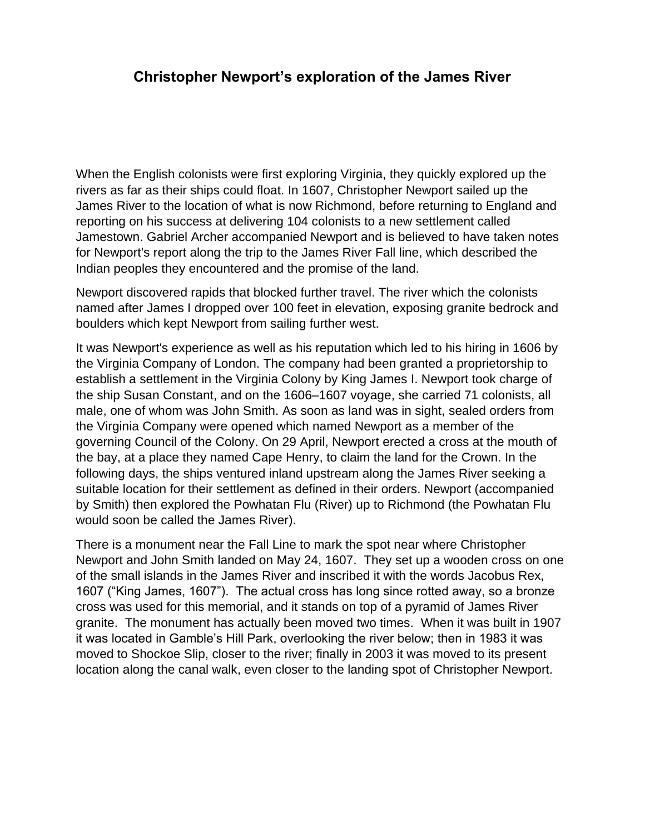## **Christopher Newport's exploration of the James River**

When the English colonists were first exploring Virginia, they quickly explored up the rivers as far as their ships could float. In 1607, Christopher Newport sailed up the James River to the location of what is now Richmond, before returning to England and reporting on his success at delivering 104 colonists to a new settlement called Jamestown. Gabriel Archer accompanied Newport and is believed to have taken notes for Newport's report along the trip to the James River Fall line, which described the Indian peoples they encountered and the promise of the land.

Newport discovered rapids that blocked further travel. The river which the colonists named after James I dropped over 100 feet in elevation, exposing granite bedrock and boulders which kept Newport from sailing further west.

It was Newport's experience as well as his reputation which led to his hiring in 1606 by the Virginia Company of London. The company had been granted a proprietorship to establish a settlement in the Virginia Colony by King James I. Newport took charge of the ship Susan Constant, and on the 1606–1607 voyage, she carried 71 colonists, all male, one of whom was John Smith. As soon as land was in sight, sealed orders from the Virginia Company were opened which named Newport as a member of the governing Council of the Colony. On 29 April, Newport erected a cross at the mouth of the bay, at a place they named Cape Henry, to claim the land for the Crown. In the following days, the ships ventured inland upstream along the James River seeking a suitable location for their settlement as defined in their orders. Newport (accompanied by Smith) then explored the Powhatan Flu (River) up to Richmond (the Powhatan Flu would soon be called the James River).

There is a monument near the Fall Line to mark the spot near where Christopher Newport and John Smith landed on May 24, 1607. They set up a wooden cross on one of the small islands in the James River and inscribed it with the words Jacobus Rex, 1607 ("King James, 1607"). The actual cross has long since rotted away, so a bronze cross was used for this memorial, and it stands on top of a pyramid of James River granite. The monument has actually been moved two times. When it was built in 1907 it was located in Gamble's Hill Park, overlooking the river below; then in 1983 it was moved to Shockoe Slip, closer to the river; finally in 2003 it was moved to its present location along the canal walk, even closer to the landing spot of Christopher Newport.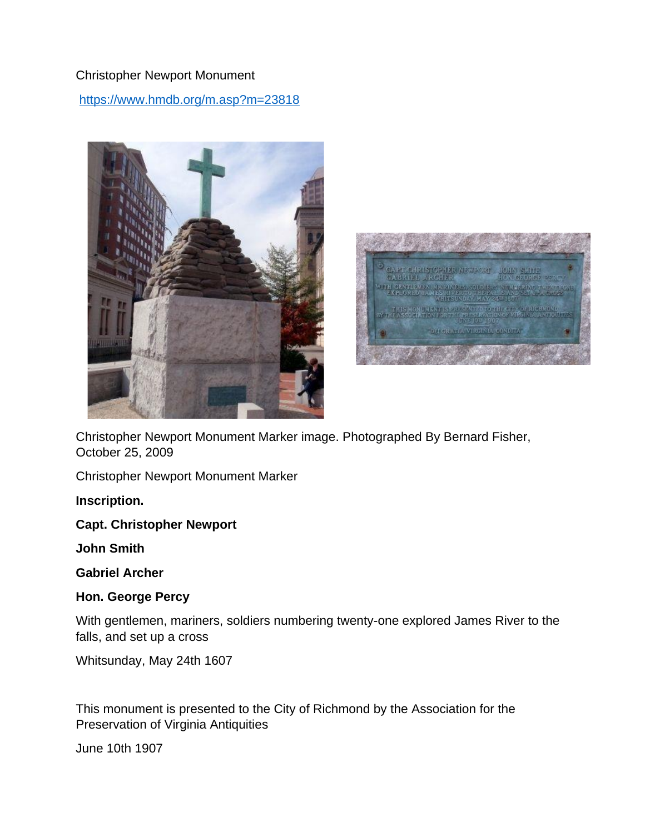### Christopher Newport Monument

<https://www.hmdb.org/m.asp?m=23818>





Christopher Newport Monument Marker image. Photographed By Bernard Fisher, October 25, 2009

Christopher Newport Monument Marker

**Inscription.**

**Capt. Christopher Newport**

**John Smith**

**Gabriel Archer**

**Hon. George Percy**

With gentlemen, mariners, soldiers numbering twenty-one explored James River to the falls, and set up a cross

Whitsunday, May 24th 1607

This monument is presented to the City of Richmond by the Association for the Preservation of Virginia Antiquities

June 10th 1907